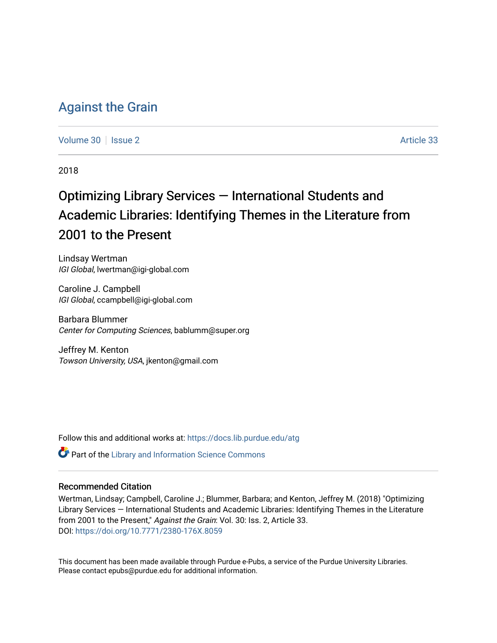# [Against the Grain](https://docs.lib.purdue.edu/atg)

[Volume 30](https://docs.lib.purdue.edu/atg/vol30) | [Issue 2](https://docs.lib.purdue.edu/atg/vol30/iss2) Article 33

2018

# Optimizing Library Services — International Students and Academic Libraries: Identifying Themes in the Literature from 2001 to the Present

Lindsay Wertman IGI Global, lwertman@igi-global.com

Caroline J. Campbell IGI Global, ccampbell@igi-global.com

Barbara Blummer Center for Computing Sciences, bablumm@super.org

Jeffrey M. Kenton Towson University, USA, jkenton@gmail.com

Follow this and additional works at: [https://docs.lib.purdue.edu/atg](https://docs.lib.purdue.edu/atg?utm_source=docs.lib.purdue.edu%2Fatg%2Fvol30%2Fiss2%2F33&utm_medium=PDF&utm_campaign=PDFCoverPages)

Part of the [Library and Information Science Commons](http://network.bepress.com/hgg/discipline/1018?utm_source=docs.lib.purdue.edu%2Fatg%2Fvol30%2Fiss2%2F33&utm_medium=PDF&utm_campaign=PDFCoverPages) 

# Recommended Citation

Wertman, Lindsay; Campbell, Caroline J.; Blummer, Barbara; and Kenton, Jeffrey M. (2018) "Optimizing Library Services — International Students and Academic Libraries: Identifying Themes in the Literature from 2001 to the Present," Against the Grain: Vol. 30: Iss. 2, Article 33. DOI:<https://doi.org/10.7771/2380-176X.8059>

This document has been made available through Purdue e-Pubs, a service of the Purdue University Libraries. Please contact epubs@purdue.edu for additional information.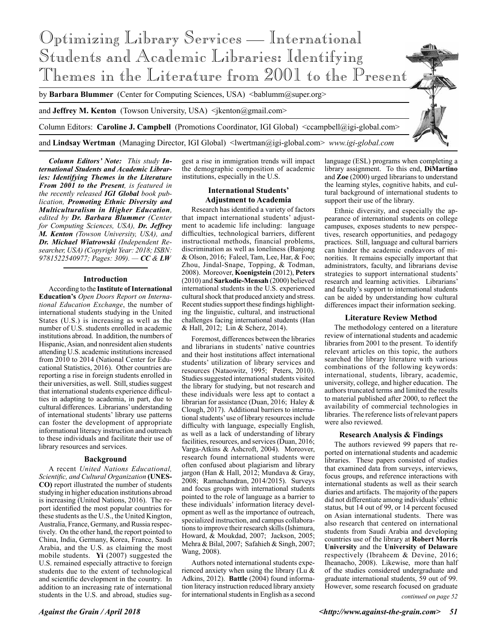

*Column Editors' Note: This study International Students and Academic Libraries: Identifying Themes in the Literature From 2001 to the Present, is featured in the recently released IGI Global book publication, Promoting Ethnic Diversity and Multiculturalism in Higher Education, edited by Dr. Barbara Blummer (Center for Computing Sciences, USA), Dr. Jeffrey M. Kenton (Towson University, USA), and Dr. Michael Wiatrowski (Independent Researcher, USA) (Copyright Year: 2018; ISBN: 9781522540977; Pages: 309). — CC & LW*

#### **Introduction**

According to the **Institute of International Education's** *Open Doors Report on International Education Exchange*, the number of international students studying in the United States (U.S.) is increasing as well as the number of U.S. students enrolled in academic institutions abroad. In addition, the numbers of Hispanic, Asian, and nonresident alien students attending U.S. academic institutions increased from 2010 to 2014 (National Center for Educational Statistics, 2016). Other countries are reporting a rise in foreign students enrolled in their universities, as well. Still, studies suggest that international students experience difficulties in adapting to academia, in part, due to cultural differences. Librarians' understanding of international students' library use patterns can foster the development of appropriate informational literacy instruction and outreach to these individuals and facilitate their use of library resources and services.

# **Background**

A recent *United Nations Educational, Scientific, and Cultural Organization* **(UNES-CO)** report illustrated the number of students studying in higher education institutions abroad is increasing (United Nations, 2016). The report identified the most popular countries for these students as the U.S., the United Kington, Australia, France, Germany, and Russia respectively. On the other hand, the report pointed to China, India, Germany, Korea, France, Saudi Arabia, and the U.S. as claiming the most mobile students. **Yi** (2007) suggested the U.S. remained especially attractive to foreign students due to the extent of technological and scientific development in the country. In addition to an increasing rate of international students in the U.S. and abroad, studies suggest a rise in immigration trends will impact the demographic composition of academic institutions, especially in the U.S.

# **International Students' Adjustment to Academia**

Research has identified a variety of factors that impact international students' adjustment to academic life including: language difficulties, technological barriers, different instructional methods, financial problems, discrimination as well as loneliness (Banjong & Olson, 2016; Faleel, Tam, Lee, Har, & Foo; Zhou, Jindal-Snape, Topping, & Todman, 2008). Moreover, **Koenigstein** (2012), **Peters** (2010) and **Sarkodie-Mensah** (2000) believed international students in the U.S. experienced cultural shock that produced anxiety and stress. Recent studies support these findings highlighting the linguistic, cultural, and instructional challenges facing international students (Han & Hall, 2012; Lin & Scherz, 2014).

Foremost, differences between the libraries and librarians in students' native countries and their host institutions affect international students' utilization of library services and resources (Nataowitz, 1995; Peters, 2010). Studies suggested international students visited the library for studying, but not research and these individuals were less apt to contact a librarian for assistance (Duan, 2016; Haley & Clough, 2017). Additional barriers to international students' use of library resources include difficulty with language, especially English, as well as a lack of understanding of library facilities, resources, and services (Duan, 2016; Varga-Atkins & Ashcroft, 2004). Moreover, research found international students were often confused about plagiarism and library jargon (Han & Hall, 2012; Mundava & Gray, 2008; Ramachandran, 2014/2015). Surveys and focus groups with international students pointed to the role of language as a barrier to these individuals' information literacy development as well as the importance of outreach, specialized instruction, and campus collaborations to improve their research skills (Ishimura, Howard, & Moukdad, 2007; Jackson, 2005; Mehra & Bilal, 2007; Safahieh & Singh, 2007; Wang, 2008).

Authors noted international students experienced anxiety when using the library (Lu  $\&$ Adkins, 2012). **Battle** (2004) found information literacy instruction reduced library anxiety for international students in English as a second language (ESL) programs when completing a library assignment. To this end, **DiMartino** and **Zoe** (2000) urged librarians to understand the learning styles, cognitive habits, and cultural background of international students to support their use of the library.

Ethnic diversity, and especially the appearance of international students on college campuses, exposes students to new perspectives, research opportunities, and pedagogy practices. Still, language and cultural barriers can hinder the academic endeavors of minorities. It remains especially important that administrators, faculty, and librarians devise strategies to support international students' research and learning activities. Librarians' and faculty's support to international students can be aided by understanding how cultural differences impact their information seeking.

#### **Literature Review Method**

The methodology centered on a literature review of international students and academic libraries from 2001 to the present. To identify relevant articles on this topic, the authors searched the library literature with various combinations of the following keywords: international, students, library, academic, university, college, and higher education. The authors truncated terms and limited the results to material published after 2000, to reflect the availability of commercial technologies in libraries. The reference lists of relevant papers were also reviewed.

## **Research Analysis & Findings**

The authors reviewed 99 papers that reported on international students and academic libraries. These papers consisted of studies that examined data from surveys, interviews, focus groups, and reference interactions with international students as well as their search diaries and artifacts. The majority of the papers did not differentiate among individuals' ethnic status, but 14 out of 99, or 14 percent focused on Asian international students. There was also research that centered on international students from Saudi Arabia and developing countries use of the library at **Robert Morris University** and the **University of Delaware**  respectively (Ibraheem & Devine, 2016; Iheanacho, 2008). Likewise, more than half of the studies considered undergraduate and graduate international students, 59 out of 99. However, some research focused on graduate

*continued on page 52*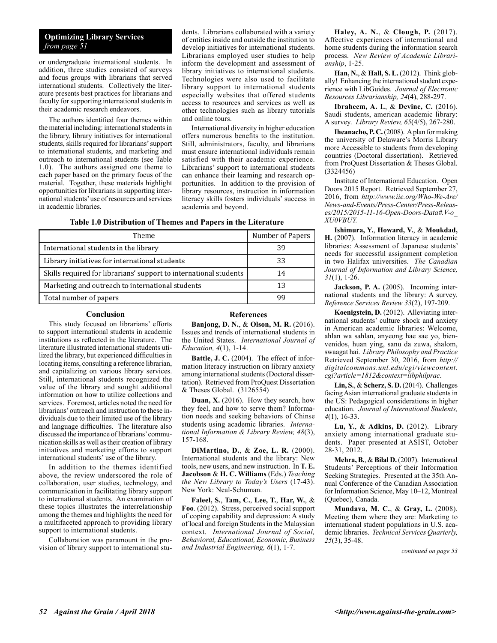# **Optimizing Library Services** *from page 51*

or undergraduate international students. In addition, three studies consisted of surveys and focus groups with librarians that served international students. Collectively the literature presents best practices for librarians and faculty for supporting international students in their academic research endeavors.

The authors identified four themes within the material including: international students in the library, library initiatives for international students, skills required for librarians' support to international students, and marketing and outreach to international students (see Table 1.0). The authors assigned one theme to each paper based on the primary focus of the material. Together, these materials highlight opportunities for librarians in supporting international students' use of resources and services in academic libraries.

dents. Librarians collaborated with a variety of entities inside and outside the institution to develop initiatives for international students. Librarians employed user studies to help inform the development and assessment of library initiatives to international students. Technologies were also used to facilitate library support to international students especially websites that offered students access to resources and services as well as other technologies such as library tutorials and online tours.

International diversity in higher education offers numerous benefits to the institution. Still, administrators, faculty, and librarians must ensure international individuals remain satisfied with their academic experience. Librarians' support to international students can enhance their learning and research opportunities. In addition to the provision of library resources, instruction in information literacy skills fosters individuals' success in academia and beyond.

**Table 1.0 Distribution of Themes and Papers in the Literature**

| Theme                                                             | Number of Papers |
|-------------------------------------------------------------------|------------------|
| International students in the library                             | 39               |
| Library initiatives for international students                    | 33               |
| Skills required for librarians' support to international students | 14               |
| Marketing and outreach to international students                  | 13               |
| Total number of papers                                            | qq               |

## **Conclusion**

This study focused on librarians' efforts to support international students in academic institutions as reflected in the literature. The literature illustrated international students utilized the library, but experienced difficulties in locating items, consulting a reference librarian, and capitalizing on various library services. Still, international students recognized the value of the library and sought additional information on how to utilize collections and services. Foremost, articles noted the need for librarians' outreach and instruction to these individuals due to their limited use of the library and language difficulties. The literature also discussed the importance of librarians' communication skills as well as their creation of library initiatives and marketing efforts to support international students' use of the library.

In addition to the themes identified above, the review underscored the role of collaboration, user studies, technology, and communication in facilitating library support to international students. An examination of these topics illustrates the interrelationship among the themes and highlights the need for a multifaceted approach to providing library support to international students.

Collaboration was paramount in the provision of library support to international stu-

# **References**

**Banjong, D. N.**, & **Olson, M. R.** (2016). Issues and trends of international students in the United States. *International Journal of Education, 4*(1), 1-14.

**Battle, J. C.** (2004). The effect of information literacy instruction on library anxiety among international students (Doctoral dissertation). Retrieved from ProQuest Dissertation & Theses Global. (3126554)

**Duan, X.** (2016). How they search, how they feel, and how to serve them? Information needs and seeking behaviors of Chinse students using academic libraries. *International Information & Library Review, 48*(3), 157-168.

**DiMartino, D.**, & **Zoe, L. R.** (2000). International students and the library: New tools, new users, and new instruction. In **T. E. Jacobson** & **H. C. Williams** (Eds.) *Teaching the New Library to Today's Users* (17-43). New York: Neal-Schuman.

**Faleel, S.**, **Tam, C.**, **Lee, T.**, **Har, W.**, & **Foo**. (2012). Stress, perceived social support of coping capability and depression: A study of local and foreign Students in the Malaysian context. *International Journal of Social, Behavioral, Educational, Economic, Business and Industrial Engineering, 6*(1), 1-7. *continued on page 53*

**Haley, A. N.**, & **Clough, P.** (2017). Affective experiences of international and home students during the information search process. *New Review of Academic Librarianship*, 1-25.

**Han, N.**, & **Hall, S. L.** (2012). Think globally! Enhancing the international student experience with LibGuides. *Journal of Electronic Resources Librarianship, 24*(4), 288-297.

**Ibraheem, A. I.**, & **Devine, C.** (2016). Saudi students, american academic library: A survey. *Library Review, 65*(4/5), 267-280.

**Iheanacho, P. C.** (2008). A plan for making the university of Delaware's Morris Library more Accessible to students from developing countries (Doctoral dissertation). Retrieved from ProQuest Dissertation & Theses Global. (3324456)

Institute of International Education. Open Doors 2015 Report. Retrieved September 27, 2016, from *http://www.iie.org/Who-We-Are/ News-and-Events/Press-Center/Press-Releases/2015/2015-11-16-Open-Doors-Data#.V-o\_ XU0VBUY.*

**Ishimura, Y.**, **Howard, V.**, & **Moukdad, H.** (2007). Information literacy in academic libraries: Assessment of Japanese students' needs for successful assignment completion in two Halifax universities. *The Canadian Journal of Information and Library Science, 31*(1), 1-26.

**Jackson, P. A.** (2005). Incoming international students and the library: A survey. *Reference Services Review 33*(2), 197-209.

**Koenigstein, D.** (2012). Alleviating international students' culture shock and anxiety in American academic libraries: Welcome, ahlan wa sahlan, anyeong hae sae yo, bienvenidos, huan ying, sanu da zuwa, shalom, swaagat hai. *Library Philosophy and Practice* Retrieved September 30, 2016, from *http:// digitalcommons.unl.edu/cgi/viewcontent. cgi?article=1812&context=libphilprac*.

**Lin, S.**, & **Scherz, S. D.** (2014). Challenges facing Asian international graduate students in the US: Pedagogical considerations in higher education. *Journal of International Students, 4*(1), 16-33.

**Lu, Y.**, & **Adkins, D.** (2012). Library anxiety among international graduate students. Paper presented at ASIST, October 28-31, 2012.

**Mehra, B.**, & **Bilal D.** (2007). International Students' Perceptions of their Information Seeking Strategies. Presented at the 35th Annual Conference of the Canadian Association for Information Science, May 10–12, Montreal (Quebec), Canada.

**Mundava, M. C.**, & **Gray, L.** (2008). Meeting them where they are: Marketing to international student populations in U.S. academic libraries. *Technical Services Quarterly, 25*(3), 35-48.